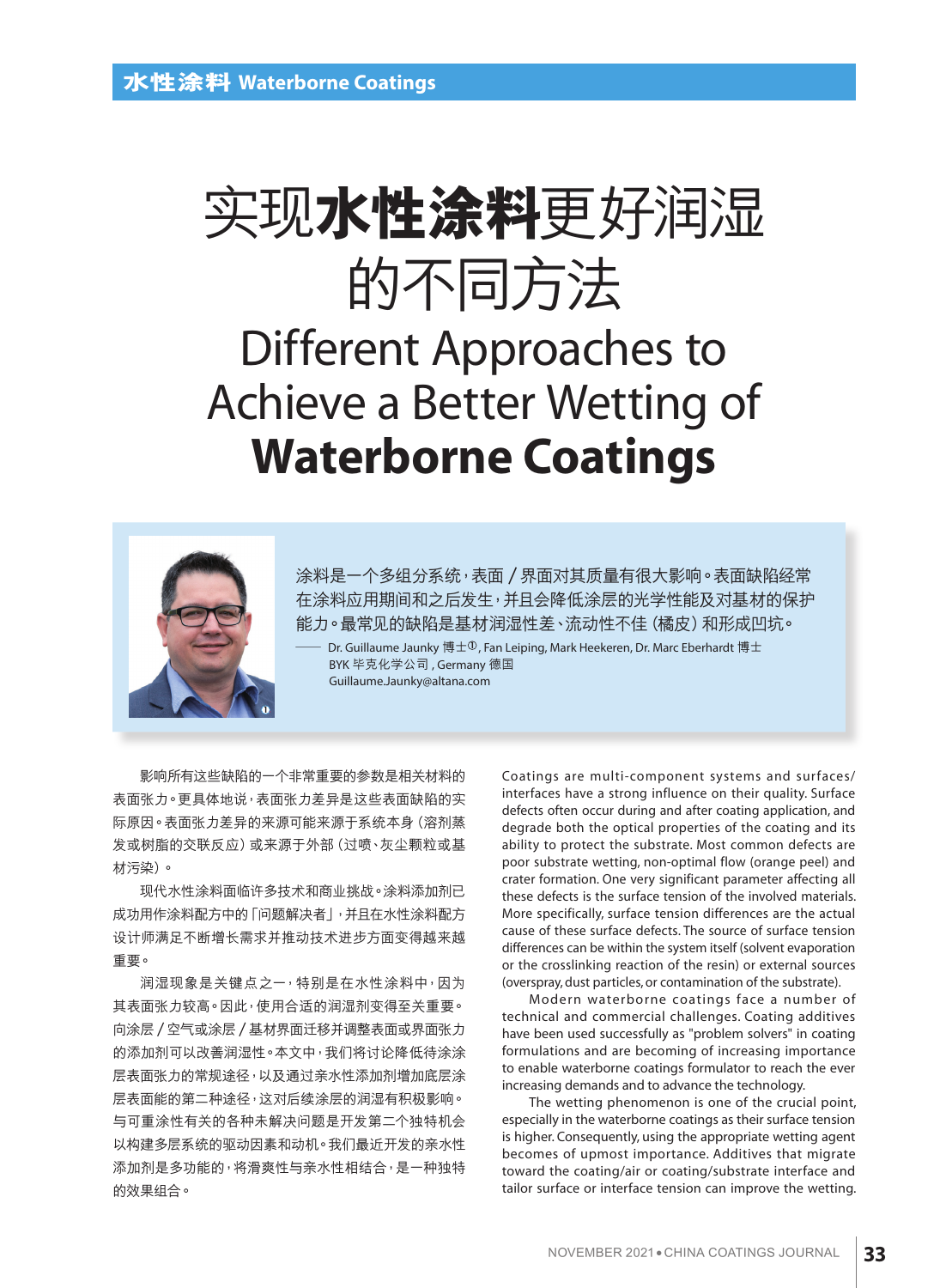# 實現**水性塗料**更好潤濕 的不同方法

## Different Approaches to Achieve a Better Wetting of **Waterborne Coatings**



涂料是一个多组分系统,表面 / 界面对其质量有很大影响。表面缺陷经常 在涂料应用期间和之后发生,并且会降低涂层的光学性能及对基材的保护 能力。最常见的缺陷是基材润湿性差、流动性不佳 (橘皮) 和形成凹坑。

Dr. Guillaume Jaunky 博士<sup>①</sup>, Fan Leiping, Mark Heekeren, Dr. Marc Eberhardt 博士 BYK 畢克化學公司 , Germany 德國 Guillaume.Jaunky@altana.com

影响所有这些缺陷的一个非常重要的参数是相关材料的 表面张力。更具体地说,表面张力差异是这些表面缺陷的实 际原因。表面张力差异的来源可能来源于系统本身(溶剂蒸 发或树脂的交联反应)或来源于外部(过喷、灰尘颗粒或基 材污染)。

现代水性涂料面临许多技术和商业挑战。涂料添加剂已 成功用作涂料配方中的「问题解决者」,并且在水性涂料配方 设计师满足不断增长需求并推动技术进步方面变得越来越 重要。

润湿现象是关键点之一,特别是在水性涂料中,因为 其表面张力较高。因此,使用合适的润湿剂变得至关重要。 向涂层 / 空气或涂层 / 基材界面迁移并调整表面或界面张力 的添加剂可以改善润湿性。本文中,我们将讨论降低待涂涂 层表面张力的常规途径,以及通过亲水性添加剂增加底层涂 层表面能的第二种途径,这对后续涂层的润湿有积极影响。 与可重涂性有关的各种未解决问题是开发第二个独特机会 以构建多层系统的驱动因素和动机。我们最近开发的亲水性 添加剂是多功能的,将滑爽性与亲水性相结合,是一种独特 的效果組合。

Coatings are multi-component systems and surfaces/ interfaces have a strong influence on their quality. Surface defects often occur during and after coating application, and degrade both the optical properties of the coating and its ability to protect the substrate. Most common defects are poor substrate wetting, non-optimal flow (orange peel) and crater formation. One very significant parameter affecting all these defects is the surface tension of the involved materials. More specifically, surface tension differences are the actual cause of these surface defects. The source of surface tension differences can be within the system itself (solvent evaporation or the crosslinking reaction of the resin) or external sources (overspray, dust particles, or contamination of the substrate).

Modern waterborne coatings face a number of technical and commercial challenges. Coating additives have been used successfully as "problem solvers" in coating formulations and are becoming of increasing importance to enable waterborne coatings formulator to reach the ever increasing demands and to advance the technology.

The wetting phenomenon is one of the crucial point, especially in the waterborne coatings as their surface tension is higher. Consequently, using the appropriate wetting agent becomes of upmost importance. Additives that migrate toward the coating/air or coating/substrate interface and tailor surface or interface tension can improve the wetting.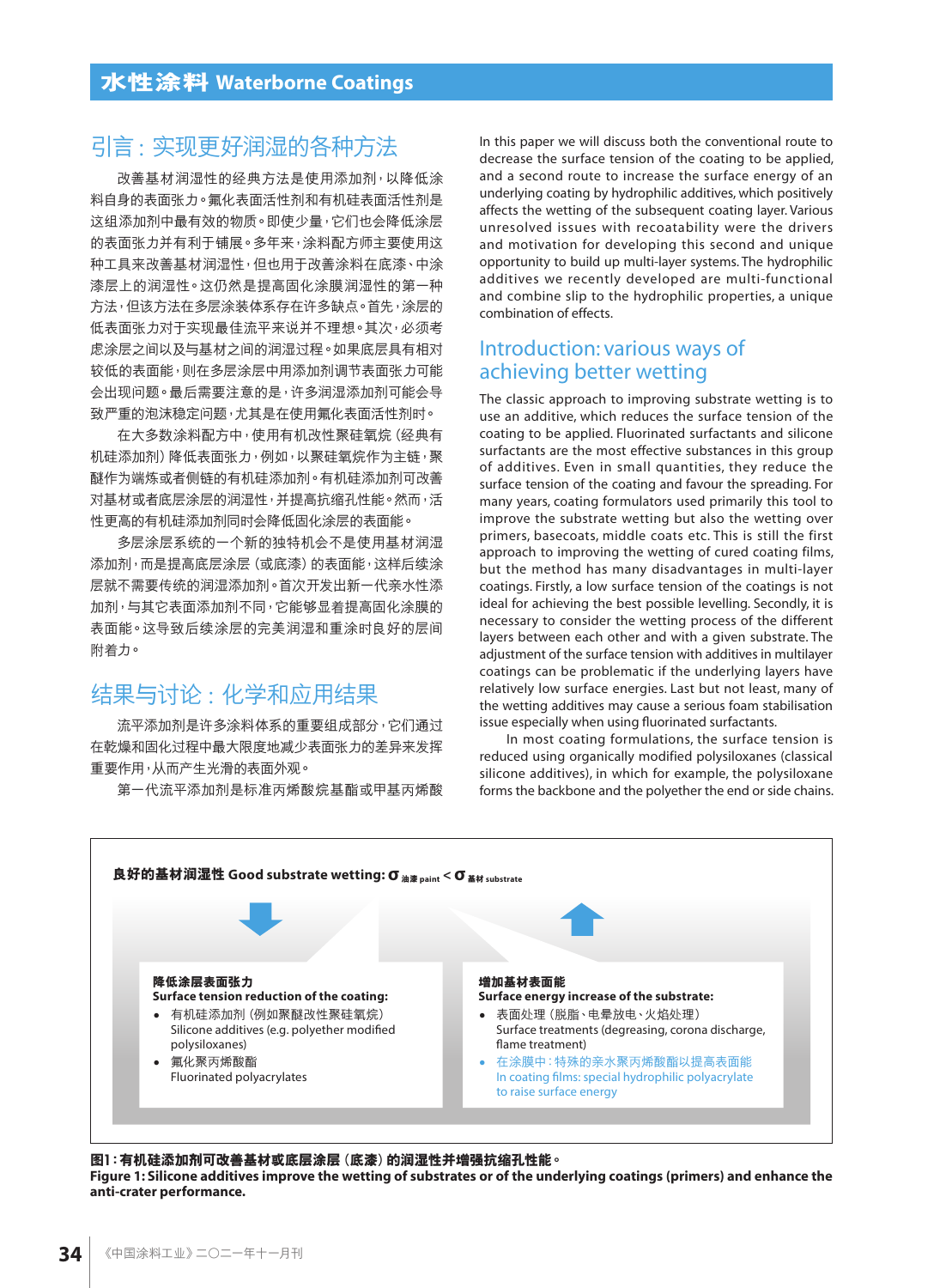## 引言: 實現更好潤濕的各種方法

改善基材润湿性的经典方法是使用添加剂,以降低涂 料自身的表面张力。氟化表面活性剂是 这组添加剂中最有效的物质。即使少量,它们也会降低涂层 的表面张力并有利于铺展。多年来,涂料配方师主要使用这 种工具来改善基材润湿性,但也用干改善涂料在底漆、中涂 漆层上的润湿性。这仍然是提高固化涂膜润湿性的第一种 方法,但该方法在多层涂装体系存在许多缺点。首先,涂层的 低表面张力对于实现最佳流平来说并不理想。其次,必须考 虑涂层之间以及与基材之间的润湿过程。如果底层具有相对 较低的表面能,则在多层涂层中用添加剂调节表面张力可能 会出现问题。最后需要注意的是,许多润湿添加剂可能会导 致严重的泡沫稳定问题,尤其是在使用氟化表面活性剂时。

在大多数涂料配方中,使用有机改性聚硅氧烷(经典有 机硅添加剂)降低表面张力,例如,以聚硅氧烷作为主链,聚 醚作為端鍊或者側鏈的有機硅添加劑。有機硅添加劑可改善 对基材或者底层涂层的润湿性,并提高抗缩孔性能。然而,活 性更高的有机硅添加剂同时会降低固化涂层的表面能。

多层涂层系统的一个新的独特机会不是使用基材润湿 添加剂,而是提高底层涂层(或底漆)的表面能,这样后续涂 层就不需要传统的润湿添加剂。首次开发出新一代亲水性添 加剂,与其它表面添加剂不同,它能够显着提高固化涂膜的 表面能。这导致后续涂层的完美润湿和重涂时良好的层间 附着力。

## 结果与讨论: 化学和应用结果

流平添加剂是许多涂料体系的重要组成部分,它们通过 在乾燥和固化过程中最大限度地减少表面张力的差异来发挥 重要作用,從而產生光滑的表面外觀。

第一代流平添加剂是标准丙烯酸烷基酯或甲基丙烯酸

In this paper we will discuss both the conventional route to decrease the surface tension of the coating to be applied, and a second route to increase the surface energy of an underlying coating by hydrophilic additives, which positively affects the wetting of the subsequent coating layer. Various unresolved issues with recoatability were the drivers and motivation for developing this second and unique opportunity to build up multi-layer systems. The hydrophilic additives we recently developed are multi-functional and combine slip to the hydrophilic properties, a unique combination of effects.

## Introduction: various ways of achieving better wetting

The classic approach to improving substrate wetting is to use an additive, which reduces the surface tension of the coating to be applied. Fluorinated surfactants and silicone surfactants are the most effective substances in this group of additives. Even in small quantities, they reduce the surface tension of the coating and favour the spreading. For many years, coating formulators used primarily this tool to improve the substrate wetting but also the wetting over primers, basecoats, middle coats etc. This is still the first approach to improving the wetting of cured coating films, but the method has many disadvantages in multi-layer coatings. Firstly, a low surface tension of the coatings is not ideal for achieving the best possible levelling. Secondly, it is necessary to consider the wetting process of the different layers between each other and with a given substrate. The adjustment of the surface tension with additives in multilayer coatings can be problematic if the underlying layers have relatively low surface energies. Last but not least, many of the wetting additives may cause a serious foam stabilisation issue especially when using fluorinated surfactants.

In most coating formulations, the surface tension is reduced using organically modified polysiloxanes (classical silicone additives), in which for example, the polysiloxane forms the backbone and the polyether the end or side chains.



图1:有机硅添加剂可改善基材或底层涂层(底漆)的润湿性并增强抗缩孔性能。 **Figure 1: Silicone additives improve the wetting of substrates or of the underlying coatings (primers) and enhance the anti-crater performance.**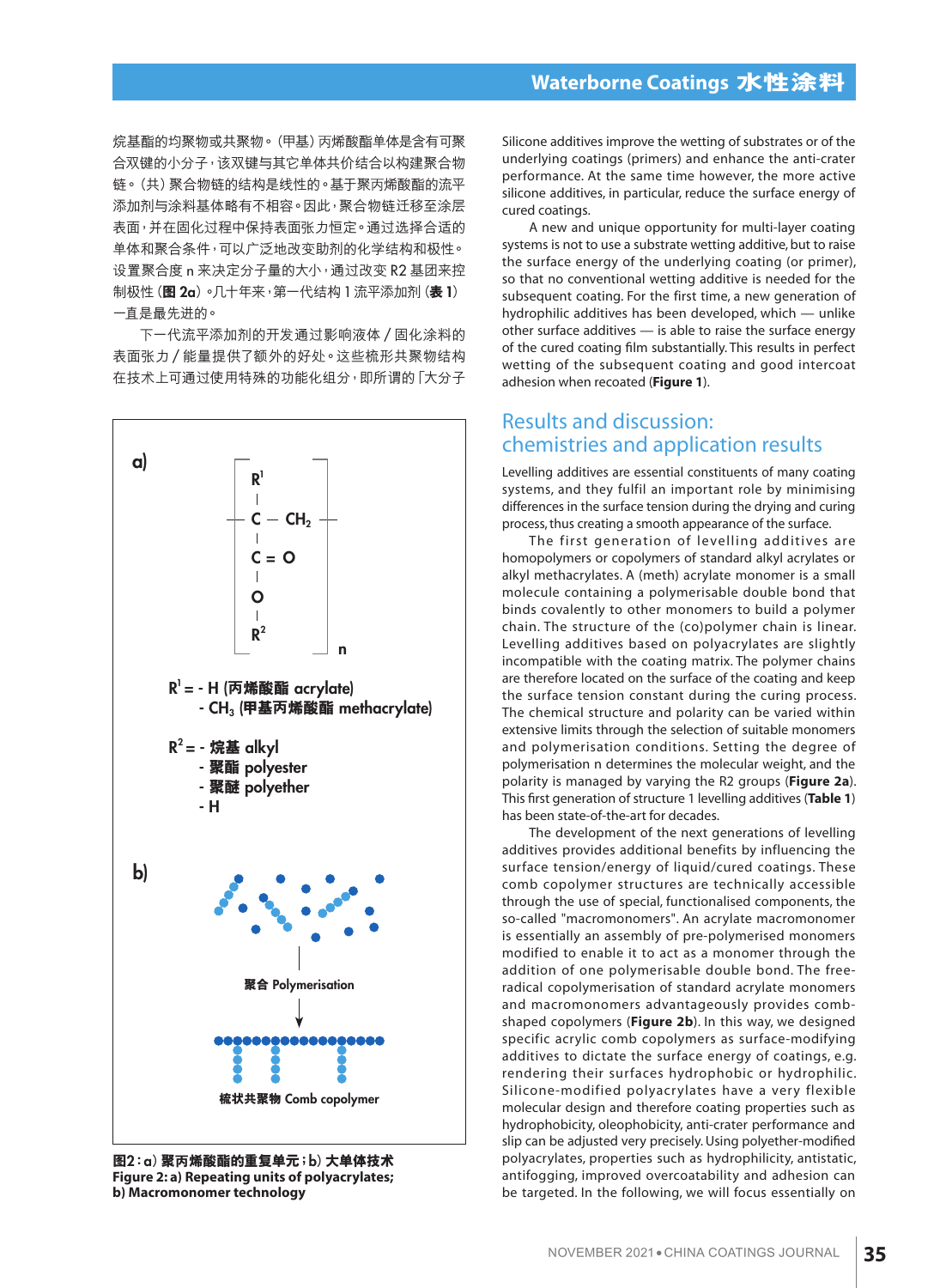烷基酯的均聚物或共聚物。(甲基)丙烯酸酯单体是含有可聚 合双键的小分子,该双键与其它单体共价结合以构建聚合物 锌。(共)聚合物链的结构是线性的。基于聚丙烯酸酯的流平 添加剂与涂料基体略有不相容。因此,聚合物链迁移至涂层 表面,并在固化过程中保持表面张力恒定。通过选择合适的 单体和聚合条件,可以广泛地改变助剂的化学结构和极性。 设置聚合度 n 来决定分子量的大小, 通过改变 R2 基团来控 制极性(图2a)。几十年来,第一代结构1流平添加剂(表1) 一直是最先進的。

下一代流平添加剂的开发通过影响液体 / 固化涂料的 表面张力/能量提供了额外的好处。这些梳形共聚物结构 在技术上可通过使用特殊的功能化组分,即所谓的「大分子



**圖**2**:**a**)聚**丙**烯酸酯的重複單元;**b**)大單體技術 Figure 2: a) Repeating units of polyacrylates; b) Macromonomer technology**

Silicone additives improve the wetting of substrates or of the underlying coatings (primers) and enhance the anti-crater performance. At the same time however, the more active silicone additives, in particular, reduce the surface energy of cured coatings.

A new and unique opportunity for multi-layer coating systems is not to use a substrate wetting additive, but to raise the surface energy of the underlying coating (or primer), so that no conventional wetting additive is needed for the subsequent coating. For the first time, a new generation of hydrophilic additives has been developed, which — unlike other surface additives — is able to raise the surface energy of the cured coating film substantially. This results in perfect wetting of the subsequent coating and good intercoat adhesion when recoated (**Figure 1**).

## Results and discussion: chemistries and application results

Levelling additives are essential constituents of many coating systems, and they fulfil an important role by minimising differences in the surface tension during the drying and curing process, thus creating a smooth appearance of the surface.

The first generation of levelling additives are homopolymers or copolymers of standard alkyl acrylates or alkyl methacrylates. A (meth) acrylate monomer is a small molecule containing a polymerisable double bond that binds covalently to other monomers to build a polymer chain. The structure of the (co)polymer chain is linear. Levelling additives based on polyacrylates are slightly incompatible with the coating matrix. The polymer chains are therefore located on the surface of the coating and keep the surface tension constant during the curing process. The chemical structure and polarity can be varied within extensive limits through the selection of suitable monomers and polymerisation conditions. Setting the degree of polymerisation n determines the molecular weight, and the polarity is managed by varying the R2 groups (**Figure 2a**). This first generation of structure 1 levelling additives (**Table 1**) has been state-of-the-art for decades.

The development of the next generations of levelling additives provides additional benefits by influencing the surface tension/energy of liquid/cured coatings. These comb copolymer structures are technically accessible through the use of special, functionalised components, the so-called "macromonomers". An acrylate macromonomer is essentially an assembly of pre-polymerised monomers modified to enable it to act as a monomer through the addition of one polymerisable double bond. The freeradical copolymerisation of standard acrylate monomers and macromonomers advantageously provides combshaped copolymers (**Figure 2b**). In this way, we designed specific acrylic comb copolymers as surface-modifying additives to dictate the surface energy of coatings, e.g. rendering their surfaces hydrophobic or hydrophilic. Silicone-modified polyacrylates have a very flexible molecular design and therefore coating properties such as hydrophobicity, oleophobicity, anti-crater performance and slip can be adjusted very precisely. Using polyether-modified polyacrylates, properties such as hydrophilicity, antistatic, antifogging, improved overcoatability and adhesion can be targeted. In the following, we will focus essentially on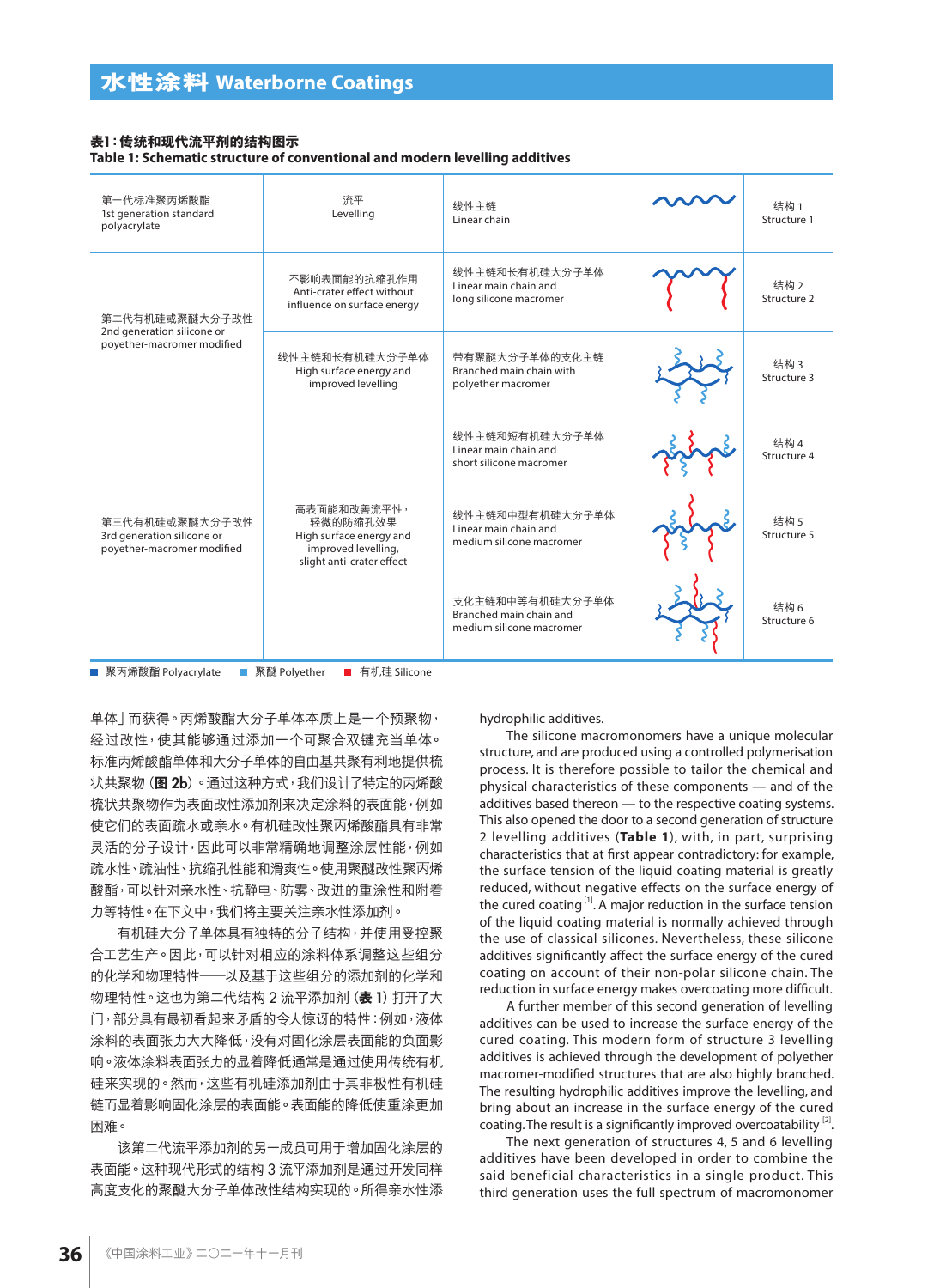#### **表**1**:傳統和現代流平劑的結構圖示**

**Table 1: Schematic structure of conventional and modern levelling additives**

| 第一代标准聚丙烯酸酯<br>1st generation standard<br>polyacrylate                      | 流平<br>Levelling                                                                                        | 线性主链<br>Linear chain                                                   | 结构1<br>Structure 1  |
|----------------------------------------------------------------------------|--------------------------------------------------------------------------------------------------------|------------------------------------------------------------------------|---------------------|
| 第二代有机硅或聚醚大分子改性<br>2nd generation silicone or<br>poyether-macromer modified | 不影响表面能的抗缩孔作用<br>Anti-crater effect without<br>influence on surface energy                              | 线性主链和长有机硅大分子单体<br>Linear main chain and<br>long silicone macromer      | 结构2<br>Structure 2  |
|                                                                            | 线性主链和长有机硅大分子单体<br>High surface energy and<br>improved levelling                                        | 带有聚醚大分子单体的支化主链<br>Branched main chain with<br>polyether macromer       | 结构3<br>Structure 3  |
| 第三代有机硅或聚醚大分子改性<br>3rd generation silicone or<br>poyether-macromer modified | 高表面能和改善流平性,<br>轻微的防缩孔效果<br>High surface energy and<br>improved levelling,<br>slight anti-crater effect | 线性主链和短有机硅大分子单体<br>Linear main chain and<br>short silicone macromer     | 结构 4<br>Structure 4 |
|                                                                            |                                                                                                        | 线性主链和中型有机硅大分子单体<br>Linear main chain and<br>medium silicone macromer   | 结构 5<br>Structure 5 |
|                                                                            |                                                                                                        | 支化主链和中等有机硅大分子单体<br>Branched main chain and<br>medium silicone macromer | 结构 6<br>Structure 6 |

■ 聚丙烯酸酯 Polyacrylate ■ 聚醚 Polyether ■ 有机硅 Silicone

单体」而获得。丙烯酸酯大分子单体本质上是一个预聚物, 经过改性,使其能够通过添加一个可聚合双键充当单体。 标准丙烯酸酯单体和大分子单体的自由基共聚有利地提供梳 状共聚物(图2b)。通过这种方式,我们设计了特定的丙烯酸 梳狀共聚物作為表面改性添加劑來決定塗料的表面能,例如 使它们的表面疏水或亲水。有机硅改性聚丙烯酸酯具有非常 灵活的分子设计,因此可以非常精确地调整涂层性能,例如 疏水性、疏油性、抗縮孔性能和滑爽性。使用聚醚改性聚丙烯 酸酯,可以针对亲水性、抗静电、防雾、改进的重涂性和附着 力等特性。在下文中,我们将主要关注亲水性添加剂。

有机硅大分子单体具有独特的分子结构,并使用受控聚 合工艺生产。因此,可以针对相应的涂料体系调整这些组分 的化学和物理特性——以及基于这些组分的添加剂的化学和 物理特性。这也为第二代结构 2 流平添加剂 (表 1) 打开了大 门,部分具有最初看起来矛盾的令人惊讶的特性:例如,液体 涂料的表面张力大大降低,没有对固化涂层表面能的负面影 响。液体涂料表面张力的显着降低通常是通过使用传统有机 硅来实现的。然而,这些有机硅添加剂由于其非极性有机硅 链而显着影响固化涂层的表面能。表面能的降低使重涂更加 困難。

该第二代流平添加剂的另一成员可用于增加固化涂层的 表面能。这种现代形式的结构 3 流平添加剂是通过开发同样 高度支化的聚醚大分子单体改性结构实现的。所得亲水性添 hydrophilic additives.

The silicone macromonomers have a unique molecular structure, and are produced using a controlled polymerisation process. It is therefore possible to tailor the chemical and physical characteristics of these components — and of the additives based thereon — to the respective coating systems. This also opened the door to a second generation of structure 2 levelling additives (**Table 1**), with, in part, surprising characteristics that at first appear contradictory: for example, the surface tension of the liquid coating material is greatly reduced, without negative effects on the surface energy of the cured coating<sup>[1]</sup>. A major reduction in the surface tension of the liquid coating material is normally achieved through the use of classical silicones. Nevertheless, these silicone additives significantly affect the surface energy of the cured coating on account of their non-polar silicone chain. The reduction in surface energy makes overcoating more difficult.

A further member of this second generation of levelling additives can be used to increase the surface energy of the cured coating. This modern form of structure 3 levelling additives is achieved through the development of polyether macromer-modified structures that are also highly branched. The resulting hydrophilic additives improve the levelling, and bring about an increase in the surface energy of the cured coating. The result is a significantly improved overcoatability<sup>[2]</sup>.

The next generation of structures 4, 5 and 6 levelling additives have been developed in order to combine the said beneficial characteristics in a single product. This third generation uses the full spectrum of macromonomer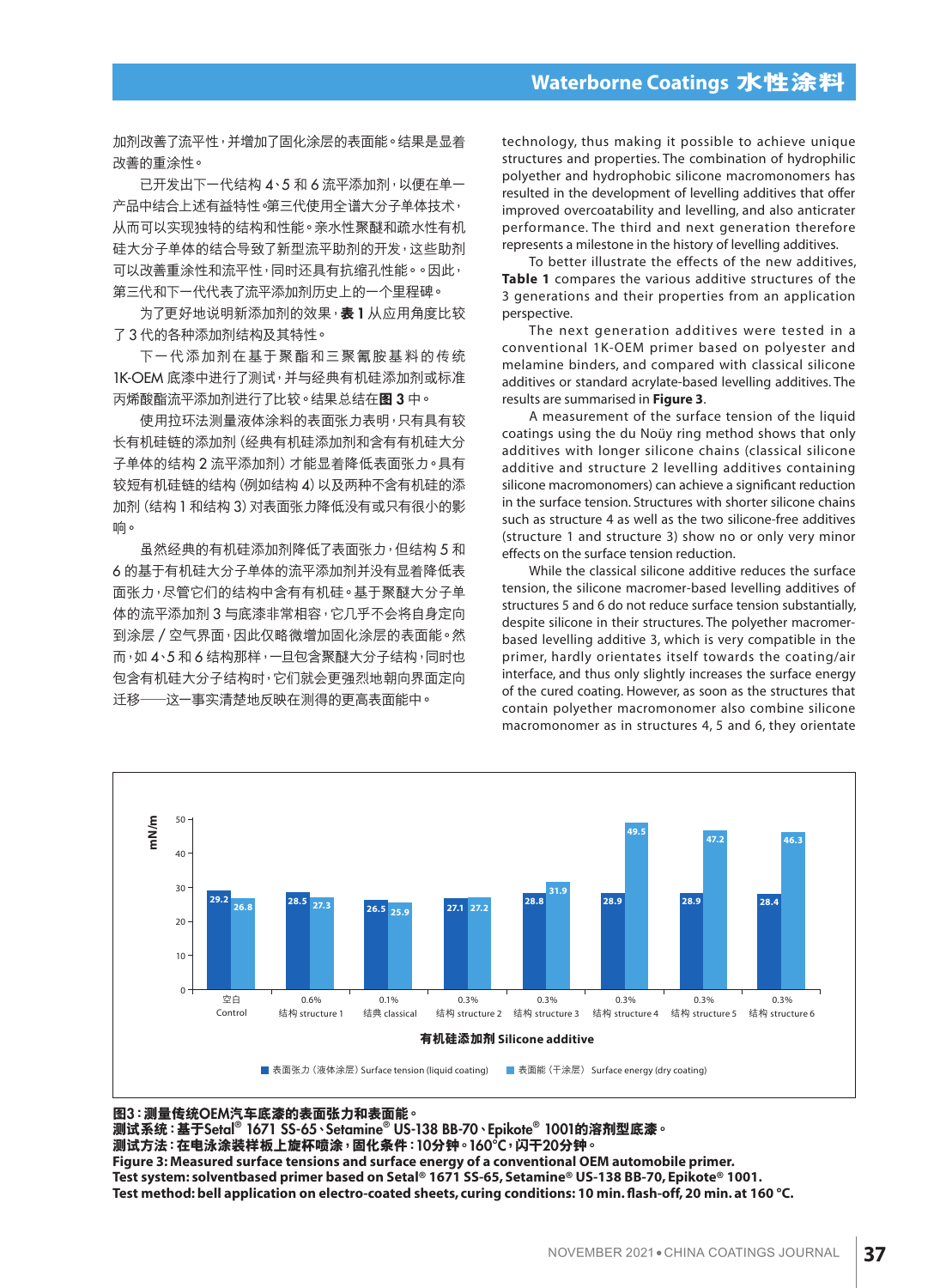#### **Waterborne Coatings 水性塗料**

加剂改善了流平性,并增加了固化涂层的表面能。结果是显着 改善的重塗性。

已開發出下一代結構 4、5 和 6 流平添加劑,以便在單一 产品中结合上述有益特性。第三代使用全谱大分子单体技术, 从而可以实现独特的结构和性能。亲水性聚醚和疏水性有机 硅大分子单体的结合导致了新型流平助剂的开发,这些助剂 可以改善重塗性和流平性,同時還具有抗縮孔性能。。因此, 第三代和下一代代表了流平添加剂历史上的一个里程碑。

为了更好地说明新添加剂的效果, 表1 从应用角度比较 了3 代的各種添加劑結構及其特性。

下一代添加剂在基于聚酯和三聚氰胺基料的传统 1K-OEM 底漆中进行了测试,并与经典有机硅添加剂或标准 丙烯酸酯流平添加劑進行了比較。結果總結在**圖** 3 中。

使用拉环法测量液体涂料的表面张力表明,只有具有较 长有机硅链的添加剂 (经典有机硅添加剂和含有有机硅大分 子单体的结构 2 流平添加剂) 才能显着降低表面张力。具有 较短有机硅链的结构(例如结构 4)以及两种不含有机硅的添 加剂(结构1和结构3)对表面张力降低没有或只有很小的影 響。

虽然经典的有机硅添加剂降低了表面张力,但结构 5 和 6 的基于有机硅大分子单体的流平添加剂并没有显着降低表 面张力,尽管它们的结构中含有有机硅。基于聚醚大分子单 体的流平添加剂 3 与底漆非常相容,它几乎不会将自身定向 到涂层 / 空气界面,因此仅略微增加固化涂层的表面能。然 而,如 4、5 和 6 结构那样,一旦包含聚醚大分子结构,同时也 包含有机硅大分子结构时,它们就会更强烈地朝向界面定向 迁移——这一事实清楚地反映在测得的更高表面能中。

technology, thus making it possible to achieve unique structures and properties. The combination of hydrophilic polyether and hydrophobic silicone macromonomers has resulted in the development of levelling additives that offer improved overcoatability and levelling, and also anticrater performance. The third and next generation therefore represents a milestone in the history of levelling additives.

To better illustrate the effects of the new additives, **Table 1** compares the various additive structures of the 3 generations and their properties from an application perspective.

The next generation additives were tested in a conventional 1K-OEM primer based on polyester and melamine binders, and compared with classical silicone additives or standard acrylate-based levelling additives. The results are summarised in **Figure 3**.

A measurement of the surface tension of the liquid coatings using the du Noüy ring method shows that only additives with longer silicone chains (classical silicone additive and structure 2 levelling additives containing silicone macromonomers) can achieve a significant reduction in the surface tension. Structures with shorter silicone chains such as structure 4 as well as the two silicone-free additives (structure 1 and structure 3) show no or only very minor effects on the surface tension reduction.

While the classical silicone additive reduces the surface tension, the silicone macromer-based levelling additives of structures 5 and 6 do not reduce surface tension substantially, despite silicone in their structures. The polyether macromerbased levelling additive 3, which is very compatible in the primer, hardly orientates itself towards the coating/air interface, and thus only slightly increases the surface energy of the cured coating. However, as soon as the structures that contain polyether macromonomer also combine silicone macromonomer as in structures 4, 5 and 6, they orientate



**圖**3**:測量傳統**OEM**汽車底漆的表面張力和表面能。**

**測試系統:基於**Setal® 1671 SS-65**、**Setamine® US-138 BB-70**、**Epikote® 1001**的溶劑型底漆。 測試方法:在電泳塗裝樣板上旋杯噴塗,固化條件:**10**分鐘。**160°C**,閃干**20**分鐘。 Figure 3: Measured surface tensions and surface energy of a conventional OEM automobile primer. Test system: solventbased primer based on Setal® 1671 SS-65, Setamine® US-138 BB-70, Epikote® 1001. Test method: bell application on electro-coated sheets, curing conditions: 10 min. flash-off, 20 min. at 160 °C.**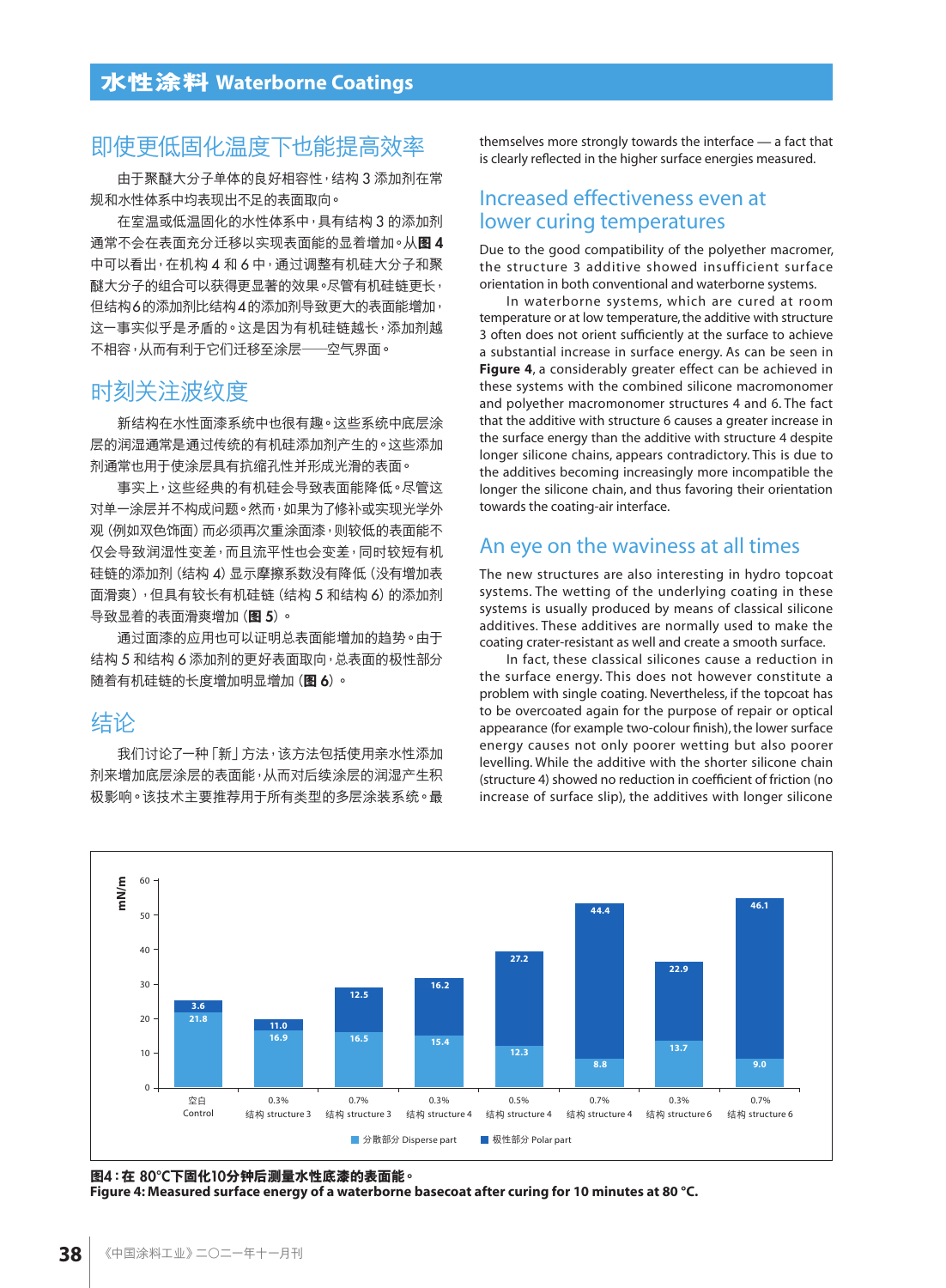## 即使更低固化溫度下也能提高效率

由于聚醚大分子单体的良好相容性,结构 3 添加剂在常 規和水性體系中均表現出不足的表面取向。

在室溫或低溫固化的水性體系中,具有結構 3 的添加劑 通常不会在表面充分迁移以实现表面能的显着增加。从图4 中可以看出, 在机构 4 和 6 中, 通过调整有机硅大分子和聚 醚大分子的组合可以获得更显著的效果。尽管有机硅链更长, 但結構6的添加劑比結構4的添加劑導致更大的表面能增加, 这一事实似乎是矛盾的。这是因为有机硅链越长,添加剂越 不相容,从而有利干它们迁移至涂层——空气界面。

## 时刻关注波纹度

新结构在水性面漆系统中也很有趣。这些系统中底层涂 层的润湿通常是通过传统的有机硅添加剂产生的。这些添加 剂通常也用于使涂层具有抗缩孔性并形成光滑的表面。

事实上,这些经典的有机硅会导致表面能降低。尽管这 对单一涂层并不构成问题。然而,如果为了修补或实现光学外 观(例如双色饰面)而必须再次重涂面漆,则较低的表面能不 仅会导致润湿性变差,而且流平性也会变差,同时较短有机 硅链的添加剂(结构 4)显示摩擦系数没有降低(没有增加表 面滑爽),但具有较长有机硅链(结构 5 和结构 6)的添加剂 導致顯着的表面滑爽增加(**圖** 5)。

通过面漆的应用也可以证明总表面能增加的趋势。由于 结构 5 和结构 6 添加剂的更好表面取向, 总表面的极性部分 隨着有機硅鏈的長度增加明顯增加(**圖** 6)。

## 結論

我们讨论了一种「新」方法,该方法包括使用亲水性添加 剂来增加底层涂层的表面能,从而对后续涂层的润湿产生积 极影响。该技术主要推荐用于所有类型的多层涂装系统。最 themselves more strongly towards the interface — a fact that is clearly reflected in the higher surface energies measured.

#### Increased effectiveness even at lower curing temperatures

Due to the good compatibility of the polyether macromer, the structure 3 additive showed insufficient surface orientation in both conventional and waterborne systems.

In waterborne systems, which are cured at room temperature or at low temperature, the additive with structure 3 often does not orient sufficiently at the surface to achieve a substantial increase in surface energy. As can be seen in **Figure 4**, a considerably greater effect can be achieved in these systems with the combined silicone macromonomer and polyether macromonomer structures 4 and 6. The fact that the additive with structure 6 causes a greater increase in the surface energy than the additive with structure 4 despite longer silicone chains, appears contradictory. This is due to the additives becoming increasingly more incompatible the longer the silicone chain, and thus favoring their orientation towards the coating-air interface.

## An eye on the waviness at all times

The new structures are also interesting in hydro topcoat systems. The wetting of the underlying coating in these systems is usually produced by means of classical silicone additives. These additives are normally used to make the coating crater-resistant as well and create a smooth surface.

In fact, these classical silicones cause a reduction in the surface energy. This does not however constitute a problem with single coating. Nevertheless, if the topcoat has to be overcoated again for the purpose of repair or optical appearance (for example two-colour finish), the lower surface energy causes not only poorer wetting but also poorer levelling. While the additive with the shorter silicone chain (structure 4) showed no reduction in coefficient of friction (no increase of surface slip), the additives with longer silicone



**圖**4**:在** 80°C**下固化**10**分鐘後測量水性底漆的表面能。**

**Figure 4: Measured surface energy of a waterborne basecoat after curing for 10 minutes at 80 °C.**